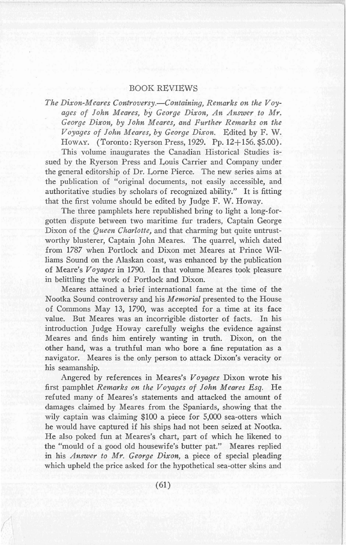## BOOK REVIEWS

*The Dixon-Meares Controversy.-Containing, Remarks on the Voy* $a$ *ages* of *John Meares, by George Dixon, An Answer to Mr. George Dixon, by John Meares, and Further Remarks on the Voyages of John Meares, by George Dixon.* Edited by F. W. HOWAY. (Toronto: Ryerson Press, 1929. Pp. 12+156. \$5.00).

This volume inaugurates the Canadian Historical Studies issued by the Ryerson Press and Louis Carrier and Company under the general editorship of Dr. Lome Pierce. The new series aims at the publication of "original documents, not easily accessible, and authoritative studies by scholars of recognized ability." It is fitting that the first volume should be edited by Judge F. W. Howay.

The three pamphlets here republished bring to light a long-forgotten dispute between two maritime fur traders, Captain George Dixon of the *Queen Charlotte,* and that charming but quite untrustworthy blusterer, Captain John Meares. The quarrel, which dated from 1787 when Portlock and Dixon met Meares at Prince Williams Sound on the Alaskan coast, was enhanced by the publication of Meare's *Voyages* in 1790. In that volume Meares took pleasure in belittling the work of Portlock and Dixon.

Meares attained a brief international fame at the time of the Nootka Sound controversy and his *Memorial* presented to the House of Commons May 13, 1790, was accepted for a time at its face value. But Meares was an incorrigible distorter of facts. In his introduction Judge Howay carefully weighs the evidence against Meares and finds him entirely wanting in truth. Dixon, on the other hand, was a truthful man who bore a fine reputation as a navigator. Meares is the only person to attack Dixon's veracity or his seamanship.

Angered by references in Meares's *Voyages* Dixon wrote his first pamphlet *Remarks on the Voyages of John Meares Esq.* He refuted many of Meares's statements and attacked the amount of damages claimed by Meares from the Spaniards, showing that the wily captain was claiming \$100 a piece for 5,000 sea-otters which he would have captured if his ships had not been seized at Nootka. He also poked fun at Meares's chart, part of which he likened to the "mould of a good old housewife's butter pat." Meares replied in his *Answer to Mr. George Dixon,* a piece of special pleading which upheld the price asked for the hypothetical sea-otter skins and